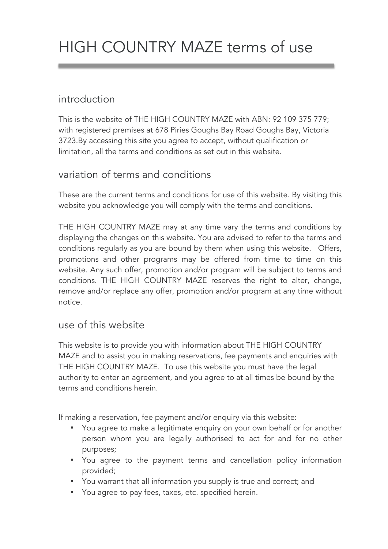# HIGH COUNTRY MAZE terms of use

# introduction

This is the website of THE HIGH COUNTRY MAZE with ABN: 92 109 375 779; with registered premises at 678 Piries Goughs Bay Road Goughs Bay, Victoria 3723.By accessing this site you agree to accept, without qualification or limitation, all the terms and conditions as set out in this website.

# variation of terms and conditions

These are the current terms and conditions for use of this website. By visiting this website you acknowledge you will comply with the terms and conditions.

THE HIGH COUNTRY MAZE may at any time vary the terms and conditions by displaying the changes on this website. You are advised to refer to the terms and conditions regularly as you are bound by them when using this website. Offers, promotions and other programs may be offered from time to time on this website. Any such offer, promotion and/or program will be subject to terms and conditions. THE HIGH COUNTRY MAZE reserves the right to alter, change, remove and/or replace any offer, promotion and/or program at any time without notice.

## use of this website

This website is to provide you with information about THE HIGH COUNTRY MAZE and to assist you in making reservations, fee payments and enquiries with THE HIGH COUNTRY MAZE. To use this website you must have the legal authority to enter an agreement, and you agree to at all times be bound by the terms and conditions herein.

If making a reservation, fee payment and/or enquiry via this website:

- You agree to make a legitimate enquiry on your own behalf or for another person whom you are legally authorised to act for and for no other purposes;
- You agree to the payment terms and cancellation policy information provided;
- You warrant that all information you supply is true and correct; and
- You agree to pay fees, taxes, etc. specified herein.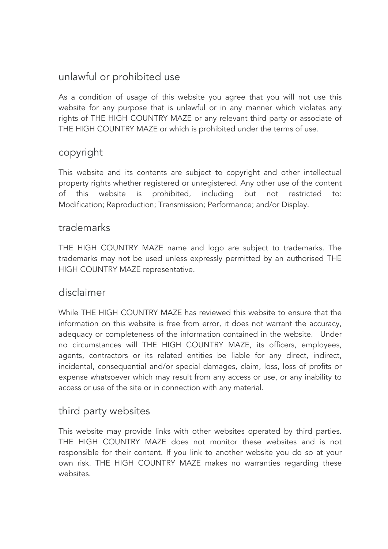## unlawful or prohibited use

As a condition of usage of this website you agree that you will not use this website for any purpose that is unlawful or in any manner which violates any rights of THE HIGH COUNTRY MAZE or any relevant third party or associate of THE HIGH COUNTRY MAZE or which is prohibited under the terms of use.

## copyright

This website and its contents are subject to copyright and other intellectual property rights whether registered or unregistered. Any other use of the content of this website is prohibited, including but not restricted to: Modification; Reproduction; Transmission; Performance; and/or Display.

#### trademarks

THE HIGH COUNTRY MAZE name and logo are subject to trademarks. The trademarks may not be used unless expressly permitted by an authorised THE HIGH COUNTRY MAZE representative.

## disclaimer

While THE HIGH COUNTRY MAZE has reviewed this website to ensure that the information on this website is free from error, it does not warrant the accuracy, adequacy or completeness of the information contained in the website. Under no circumstances will THE HIGH COUNTRY MAZE, its officers, employees, agents, contractors or its related entities be liable for any direct, indirect, incidental, consequential and/or special damages, claim, loss, loss of profits or expense whatsoever which may result from any access or use, or any inability to access or use of the site or in connection with any material.

## third party websites

This website may provide links with other websites operated by third parties. THE HIGH COUNTRY MAZE does not monitor these websites and is not responsible for their content. If you link to another website you do so at your own risk. THE HIGH COUNTRY MAZE makes no warranties regarding these websites.